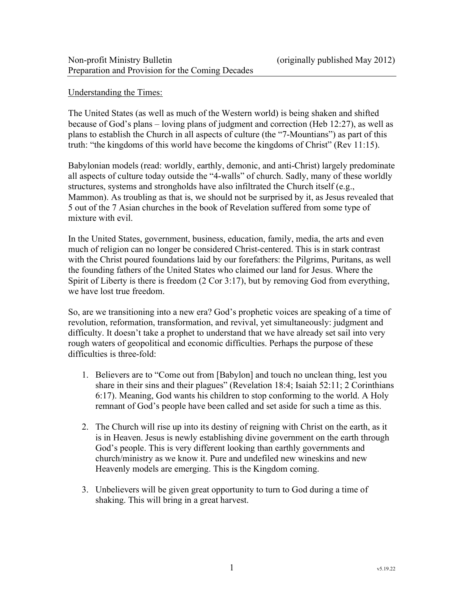# Understanding the Times:

The United States (as well as much of the Western world) is being shaken and shifted because of God's plans – loving plans of judgment and correction (Heb 12:27), as well as plans to establish the Church in all aspects of culture (the "7-Mountians") as part of this truth: "the kingdoms of this world have become the kingdoms of Christ" (Rev 11:15).

Babylonian models (read: worldly, earthly, demonic, and anti-Christ) largely predominate all aspects of culture today outside the "4-walls" of church. Sadly, many of these worldly structures, systems and strongholds have also infiltrated the Church itself (e.g., Mammon). As troubling as that is, we should not be surprised by it, as Jesus revealed that 5 out of the 7 Asian churches in the book of Revelation suffered from some type of mixture with evil.

In the United States, government, business, education, family, media, the arts and even much of religion can no longer be considered Christ-centered. This is in stark contrast with the Christ poured foundations laid by our forefathers: the Pilgrims, Puritans, as well the founding fathers of the United States who claimed our land for Jesus. Where the Spirit of Liberty is there is freedom (2 Cor 3:17), but by removing God from everything, we have lost true freedom.

So, are we transitioning into a new era? God's prophetic voices are speaking of a time of revolution, reformation, transformation, and revival, yet simultaneously: judgment and difficulty. It doesn't take a prophet to understand that we have already set sail into very rough waters of geopolitical and economic difficulties. Perhaps the purpose of these difficulties is three-fold:

- 1. Believers are to "Come out from [Babylon] and touch no unclean thing, lest you share in their sins and their plagues" (Revelation 18:4; Isaiah 52:11; 2 Corinthians 6:17). Meaning, God wants his children to stop conforming to the world. A Holy remnant of God's people have been called and set aside for such a time as this.
- 2. The Church will rise up into its destiny of reigning with Christ on the earth, as it is in Heaven. Jesus is newly establishing divine government on the earth through God's people. This is very different looking than earthly governments and church/ministry as we know it. Pure and undefiled new wineskins and new Heavenly models are emerging. This is the Kingdom coming.
- 3. Unbelievers will be given great opportunity to turn to God during a time of shaking. This will bring in a great harvest.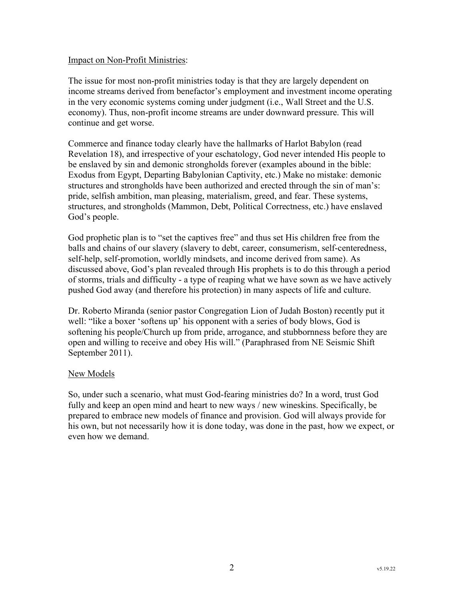### Impact on Non-Profit Ministries:

The issue for most non-profit ministries today is that they are largely dependent on income streams derived from benefactor's employment and investment income operating in the very economic systems coming under judgment (i.e., Wall Street and the U.S. economy). Thus, non-profit income streams are under downward pressure. This will continue and get worse.

Commerce and finance today clearly have the hallmarks of Harlot Babylon (read Revelation 18), and irrespective of your eschatology, God never intended His people to be enslaved by sin and demonic strongholds forever (examples abound in the bible: Exodus from Egypt, Departing Babylonian Captivity, etc.) Make no mistake: demonic structures and strongholds have been authorized and erected through the sin of man's: pride, selfish ambition, man pleasing, materialism, greed, and fear. These systems, structures, and strongholds (Mammon, Debt, Political Correctness, etc.) have enslaved God's people.

God prophetic plan is to "set the captives free" and thus set His children free from the balls and chains of our slavery (slavery to debt, career, consumerism, self-centeredness, self-help, self-promotion, worldly mindsets, and income derived from same). As discussed above, God's plan revealed through His prophets is to do this through a period of storms, trials and difficulty - a type of reaping what we have sown as we have actively pushed God away (and therefore his protection) in many aspects of life and culture.

Dr. Roberto Miranda (senior pastor Congregation Lion of Judah Boston) recently put it well: "like a boxer 'softens up' his opponent with a series of body blows, God is softening his people/Church up from pride, arrogance, and stubbornness before they are open and willing to receive and obey His will." (Paraphrased from NE Seismic Shift September 2011).

# New Models

So, under such a scenario, what must God-fearing ministries do? In a word, trust God fully and keep an open mind and heart to new ways / new wineskins. Specifically, be prepared to embrace new models of finance and provision. God will always provide for his own, but not necessarily how it is done today, was done in the past, how we expect, or even how we demand.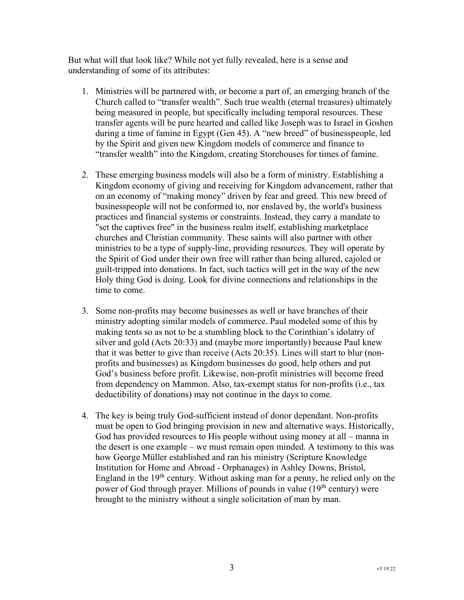But what will that look like? While not yet fully revealed, here is a sense and understanding of some of its attributes:

- 1. Ministries will be partnered with, or become a part of, an emerging branch of the Church called to "transfer wealth". Such true wealth (eternal treasures) ultimately being measured in people, but specifically including temporal resources. These transfer agents will be pure hearted and called like Joseph was to Israel in Goshen during a time of famine in Egypt (Gen 45). A "new breed" of businesspeople, led by the Spirit and given new Kingdom models of commerce and finance to "transfer wealth" into the Kingdom, creating Storehouses for times of famine.
- 2. These emerging business models will also be a form of ministry. Establishing a Kingdom economy of giving and receiving for Kingdom advancement, rather that on an economy of "making money" driven by fear and greed. This new breed of businesspeople will not be conformed to, nor enslaved by, the world's business practices and financial systems or constraints. Instead, they carry a mandate to "set the captives free" in the business realm itself, establishing marketplace churches and Christian community. These saints will also partner with other ministries to be a type of supply-line, providing resources. They will operate by the Spirit of God under their own free will rather than being allured, cajoled or guilt-tripped into donations. In fact, such tactics will get in the way of the new Holy thing God is doing. Look for divine connections and relationships in the time to come.
- 3. Some non-profits may become businesses as well or have branches of their ministry adopting similar models of commerce. Paul modeled some of this by making tents so as not to be a stumbling block to the Corinthian's idolatry of silver and gold (Acts 20:33) and (maybe more importantly) because Paul knew that it was better to give than receive (Acts 20:35). Lines will start to blur (nonprofits and businesses) as Kingdom businesses do good, help others and put God's business before profit. Likewise, non-profit ministries will become freed from dependency on Mammon. Also, tax-exempt status for non-profits (i.e., tax deductibility of donations) may not continue in the days to come.
- 4. The key is being truly God-sufficient instead of donor dependant. Non-profits must be open to God bringing provision in new and alternative ways. Historically, God has provided resources to His people without using money at all – manna in the desert is one example – we must remain open minded. A testimony to this was how George Müller established and ran his ministry (Scripture Knowledge Institution for Home and Abroad - Orphanages) in Ashley Downs, Bristol, England in the  $19<sup>th</sup>$  century. Without asking man for a penny, he relied only on the power of God through prayer. Millions of pounds in value  $(19<sup>th</sup>$  century) were brought to the ministry without a single solicitation of man by man.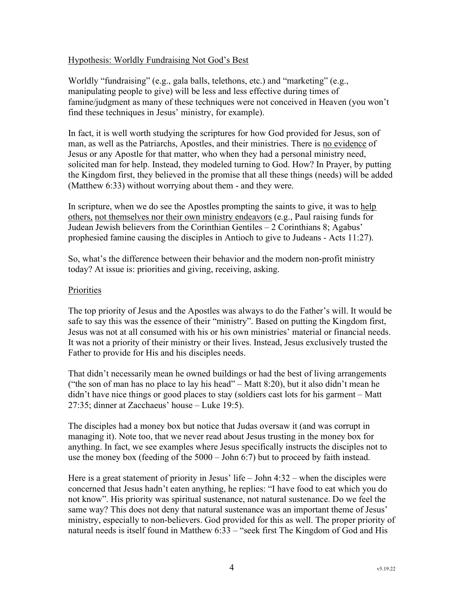# Hypothesis: Worldly Fundraising Not God's Best

Worldly "fundraising" (e.g., gala balls, telethons, etc.) and "marketing" (e.g., manipulating people to give) will be less and less effective during times of famine/judgment as many of these techniques were not conceived in Heaven (you won't find these techniques in Jesus' ministry, for example).

In fact, it is well worth studying the scriptures for how God provided for Jesus, son of man, as well as the Patriarchs, Apostles, and their ministries. There is no evidence of Jesus or any Apostle for that matter, who when they had a personal ministry need, solicited man for help. Instead, they modeled turning to God. How? In Prayer, by putting the Kingdom first, they believed in the promise that all these things (needs) will be added (Matthew 6:33) without worrying about them - and they were.

In scripture, when we do see the Apostles prompting the saints to give, it was to help others, not themselves nor their own ministry endeavors (e.g., Paul raising funds for Judean Jewish believers from the Corinthian Gentiles – 2 Corinthians 8; Agabus' prophesied famine causing the disciples in Antioch to give to Judeans - Acts 11:27).

So, what's the difference between their behavior and the modern non-profit ministry today? At issue is: priorities and giving, receiving, asking.

#### Priorities

The top priority of Jesus and the Apostles was always to do the Father's will. It would be safe to say this was the essence of their "ministry". Based on putting the Kingdom first, Jesus was not at all consumed with his or his own ministries' material or financial needs. It was not a priority of their ministry or their lives. Instead, Jesus exclusively trusted the Father to provide for His and his disciples needs.

That didn't necessarily mean he owned buildings or had the best of living arrangements ("the son of man has no place to lay his head" – Matt 8:20), but it also didn't mean he didn't have nice things or good places to stay (soldiers cast lots for his garment – Matt 27:35; dinner at Zacchaeus' house – Luke 19:5).

The disciples had a money box but notice that Judas oversaw it (and was corrupt in managing it). Note too, that we never read about Jesus trusting in the money box for anything. In fact, we see examples where Jesus specifically instructs the disciples not to use the money box (feeding of the 5000 – John 6:7) but to proceed by faith instead.

Here is a great statement of priority in Jesus' life – John 4:32 – when the disciples were concerned that Jesus hadn't eaten anything, he replies: "I have food to eat which you do not know". His priority was spiritual sustenance, not natural sustenance. Do we feel the same way? This does not deny that natural sustenance was an important theme of Jesus' ministry, especially to non-believers. God provided for this as well. The proper priority of natural needs is itself found in Matthew 6:33 – "seek first The Kingdom of God and His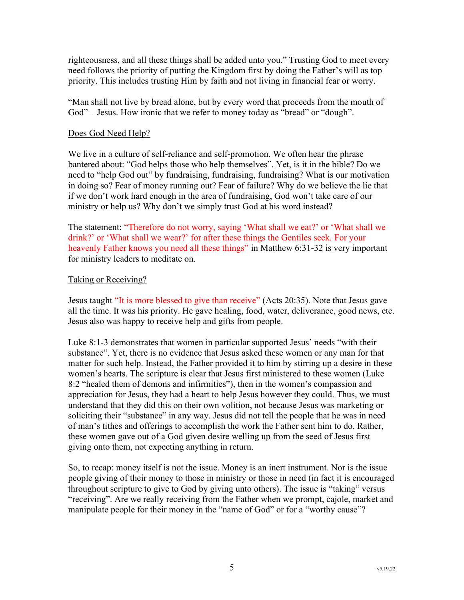righteousness, and all these things shall be added unto you." Trusting God to meet every need follows the priority of putting the Kingdom first by doing the Father's will as top priority. This includes trusting Him by faith and not living in financial fear or worry.

"Man shall not live by bread alone, but by every word that proceeds from the mouth of God" – Jesus. How ironic that we refer to money today as "bread" or "dough".

### Does God Need Help?

We live in a culture of self-reliance and self-promotion. We often hear the phrase bantered about: "God helps those who help themselves". Yet, is it in the bible? Do we need to "help God out" by fundraising, fundraising, fundraising? What is our motivation in doing so? Fear of money running out? Fear of failure? Why do we believe the lie that if we don't work hard enough in the area of fundraising, God won't take care of our ministry or help us? Why don't we simply trust God at his word instead?

The statement: "Therefore do not worry, saying 'What shall we eat?' or 'What shall we drink?' or 'What shall we wear?' for after these things the Gentiles seek. For your heavenly Father knows you need all these things" in Matthew 6:31-32 is very important for ministry leaders to meditate on.

# Taking or Receiving?

Jesus taught "It is more blessed to give than receive" (Acts 20:35). Note that Jesus gave all the time. It was his priority. He gave healing, food, water, deliverance, good news, etc. Jesus also was happy to receive help and gifts from people.

Luke 8:1-3 demonstrates that women in particular supported Jesus' needs "with their substance". Yet, there is no evidence that Jesus asked these women or any man for that matter for such help. Instead, the Father provided it to him by stirring up a desire in these women's hearts. The scripture is clear that Jesus first ministered to these women (Luke 8:2 "healed them of demons and infirmities"), then in the women's compassion and appreciation for Jesus, they had a heart to help Jesus however they could. Thus, we must understand that they did this on their own volition, not because Jesus was marketing or soliciting their "substance" in any way. Jesus did not tell the people that he was in need of man's tithes and offerings to accomplish the work the Father sent him to do. Rather, these women gave out of a God given desire welling up from the seed of Jesus first giving onto them, not expecting anything in return.

So, to recap: money itself is not the issue. Money is an inert instrument. Nor is the issue people giving of their money to those in ministry or those in need (in fact it is encouraged throughout scripture to give to God by giving unto others). The issue is "taking" versus "receiving". Are we really receiving from the Father when we prompt, cajole, market and manipulate people for their money in the "name of God" or for a "worthy cause"?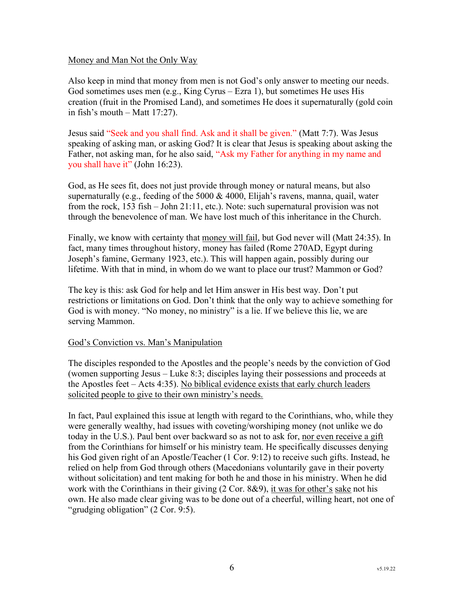### Money and Man Not the Only Way

Also keep in mind that money from men is not God's only answer to meeting our needs. God sometimes uses men (e.g., King Cyrus – Ezra 1), but sometimes He uses His creation (fruit in the Promised Land), and sometimes He does it supernaturally (gold coin in fish's mouth – Matt 17:27).

Jesus said "Seek and you shall find. Ask and it shall be given." (Matt 7:7). Was Jesus speaking of asking man, or asking God? It is clear that Jesus is speaking about asking the Father, not asking man, for he also said, "Ask my Father for anything in my name and you shall have it" (John 16:23).

God, as He sees fit, does not just provide through money or natural means, but also supernaturally (e.g., feeding of the 5000  $& 4000$ , Elijah's ravens, manna, quail, water from the rock, 153 fish – John 21:11, etc.). Note: such supernatural provision was not through the benevolence of man. We have lost much of this inheritance in the Church.

Finally, we know with certainty that money will fail, but God never will (Matt 24:35). In fact, many times throughout history, money has failed (Rome 270AD, Egypt during Joseph's famine, Germany 1923, etc.). This will happen again, possibly during our lifetime. With that in mind, in whom do we want to place our trust? Mammon or God?

The key is this: ask God for help and let Him answer in His best way. Don't put restrictions or limitations on God. Don't think that the only way to achieve something for God is with money. "No money, no ministry" is a lie. If we believe this lie, we are serving Mammon.

#### God's Conviction vs. Man's Manipulation

The disciples responded to the Apostles and the people's needs by the conviction of God (women supporting Jesus – Luke 8:3; disciples laying their possessions and proceeds at the Apostles feet – Acts 4:35). No biblical evidence exists that early church leaders solicited people to give to their own ministry's needs.

In fact, Paul explained this issue at length with regard to the Corinthians, who, while they were generally wealthy, had issues with coveting/worshiping money (not unlike we do today in the U.S.). Paul bent over backward so as not to ask for, nor even receive a gift from the Corinthians for himself or his ministry team. He specifically discusses denying his God given right of an Apostle/Teacher (1 Cor. 9:12) to receive such gifts. Instead, he relied on help from God through others (Macedonians voluntarily gave in their poverty without solicitation) and tent making for both he and those in his ministry. When he did work with the Corinthians in their giving  $(2 \text{ Cor. } 8\&9)$ , it was for other's sake not his own. He also made clear giving was to be done out of a cheerful, willing heart, not one of "grudging obligation" (2 Cor. 9:5).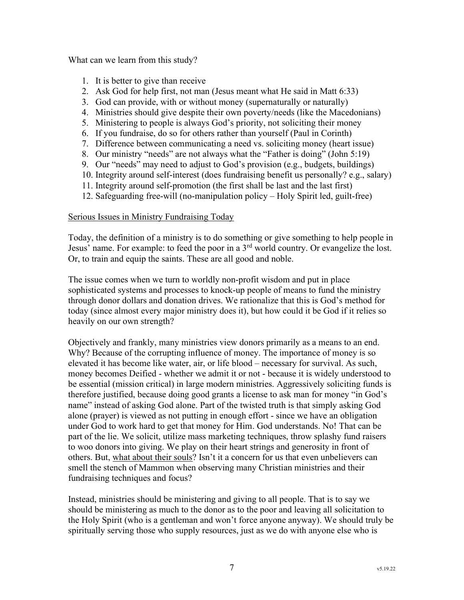What can we learn from this study?

- 1. It is better to give than receive
- 2. Ask God for help first, not man (Jesus meant what He said in Matt 6:33)
- 3. God can provide, with or without money (supernaturally or naturally)
- 4. Ministries should give despite their own poverty/needs (like the Macedonians)
- 5. Ministering to people is always God's priority, not soliciting their money
- 6. If you fundraise, do so for others rather than yourself (Paul in Corinth)
- 7. Difference between communicating a need vs. soliciting money (heart issue)
- 8. Our ministry "needs" are not always what the "Father is doing" (John 5:19)
- 9. Our "needs" may need to adjust to God's provision (e.g., budgets, buildings)
- 10. Integrity around self-interest (does fundraising benefit us personally? e.g., salary)
- 11. Integrity around self-promotion (the first shall be last and the last first)
- 12. Safeguarding free-will (no-manipulation policy Holy Spirit led, guilt-free)

#### Serious Issues in Ministry Fundraising Today

Today, the definition of a ministry is to do something or give something to help people in Jesus' name. For example: to feed the poor in a 3rd world country. Or evangelize the lost. Or, to train and equip the saints. These are all good and noble.

The issue comes when we turn to worldly non-profit wisdom and put in place sophisticated systems and processes to knock-up people of means to fund the ministry through donor dollars and donation drives. We rationalize that this is God's method for today (since almost every major ministry does it), but how could it be God if it relies so heavily on our own strength?

Objectively and frankly, many ministries view donors primarily as a means to an end. Why? Because of the corrupting influence of money. The importance of money is so elevated it has become like water, air, or life blood – necessary for survival. As such, money becomes Deified - whether we admit it or not - because it is widely understood to be essential (mission critical) in large modern ministries. Aggressively soliciting funds is therefore justified, because doing good grants a license to ask man for money "in God's name" instead of asking God alone. Part of the twisted truth is that simply asking God alone (prayer) is viewed as not putting in enough effort - since we have an obligation under God to work hard to get that money for Him. God understands. No! That can be part of the lie. We solicit, utilize mass marketing techniques, throw splashy fund raisers to woo donors into giving. We play on their heart strings and generosity in front of others. But, what about their souls? Isn't it a concern for us that even unbelievers can smell the stench of Mammon when observing many Christian ministries and their fundraising techniques and focus?

Instead, ministries should be ministering and giving to all people. That is to say we should be ministering as much to the donor as to the poor and leaving all solicitation to the Holy Spirit (who is a gentleman and won't force anyone anyway). We should truly be spiritually serving those who supply resources, just as we do with anyone else who is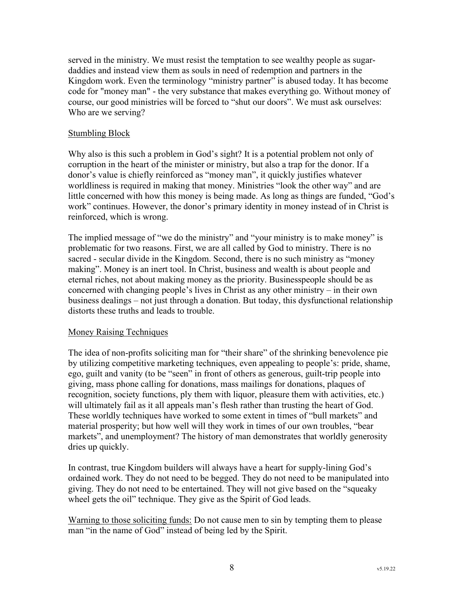served in the ministry. We must resist the temptation to see wealthy people as sugardaddies and instead view them as souls in need of redemption and partners in the Kingdom work. Even the terminology "ministry partner" is abused today. It has become code for "money man" - the very substance that makes everything go. Without money of course, our good ministries will be forced to "shut our doors". We must ask ourselves: Who are we serving?

### Stumbling Block

Why also is this such a problem in God's sight? It is a potential problem not only of corruption in the heart of the minister or ministry, but also a trap for the donor. If a donor's value is chiefly reinforced as "money man", it quickly justifies whatever worldliness is required in making that money. Ministries "look the other way" and are little concerned with how this money is being made. As long as things are funded, "God's work" continues. However, the donor's primary identity in money instead of in Christ is reinforced, which is wrong.

The implied message of "we do the ministry" and "your ministry is to make money" is problematic for two reasons. First, we are all called by God to ministry. There is no sacred - secular divide in the Kingdom. Second, there is no such ministry as "money making". Money is an inert tool. In Christ, business and wealth is about people and eternal riches, not about making money as the priority. Businesspeople should be as concerned with changing people's lives in Christ as any other ministry – in their own business dealings – not just through a donation. But today, this dysfunctional relationship distorts these truths and leads to trouble.

#### Money Raising Techniques

The idea of non-profits soliciting man for "their share" of the shrinking benevolence pie by utilizing competitive marketing techniques, even appealing to people's: pride, shame, ego, guilt and vanity (to be "seen" in front of others as generous, guilt-trip people into giving, mass phone calling for donations, mass mailings for donations, plaques of recognition, society functions, ply them with liquor, pleasure them with activities, etc.) will ultimately fail as it all appeals man's flesh rather than trusting the heart of God. These worldly techniques have worked to some extent in times of "bull markets" and material prosperity; but how well will they work in times of our own troubles, "bear markets", and unemployment? The history of man demonstrates that worldly generosity dries up quickly.

In contrast, true Kingdom builders will always have a heart for supply-lining God's ordained work. They do not need to be begged. They do not need to be manipulated into giving. They do not need to be entertained. They will not give based on the "squeaky wheel gets the oil" technique. They give as the Spirit of God leads.

Warning to those soliciting funds: Do not cause men to sin by tempting them to please man "in the name of God" instead of being led by the Spirit.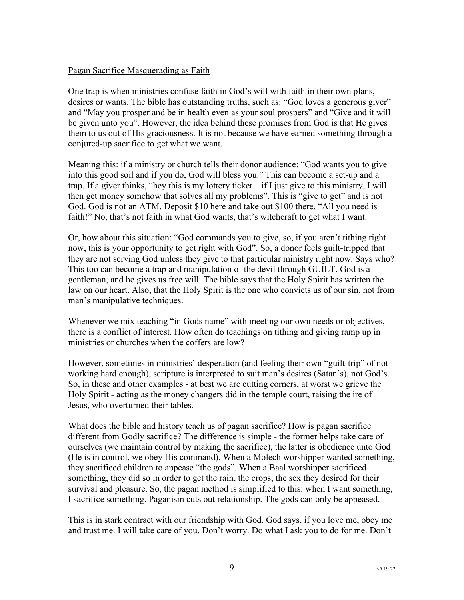# Pagan Sacrifice Masquerading as Faith

One trap is when ministries confuse faith in God's will with faith in their own plans, desires or wants. The bible has outstanding truths, such as: "God loves a generous giver" and "May you prosper and be in health even as your soul prospers" and "Give and it will be given unto you". However, the idea behind these promises from God is that He gives them to us out of His graciousness. It is not because we have earned something through a conjured-up sacrifice to get what we want.

Meaning this: if a ministry or church tells their donor audience: "God wants you to give into this good soil and if you do, God will bless you." This can become a set-up and a trap. If a giver thinks, "hey this is my lottery ticket – if I just give to this ministry, I will then get money somehow that solves all my problems". This is "give to get" and is not God. God is not an ATM. Deposit \$10 here and take out \$100 there. "All you need is faith!" No, that's not faith in what God wants, that's witchcraft to get what I want.

Or, how about this situation: "God commands you to give, so, if you aren't tithing right now, this is your opportunity to get right with God". So, a donor feels guilt-tripped that they are not serving God unless they give to that particular ministry right now. Says who? This too can become a trap and manipulation of the devil through GUILT. God is a gentleman, and he gives us free will. The bible says that the Holy Spirit has written the law on our heart. Also, that the Holy Spirit is the one who convicts us of our sin, not from man's manipulative techniques.

Whenever we mix teaching "in Gods name" with meeting our own needs or objectives, there is a conflict of interest. How often do teachings on tithing and giving ramp up in ministries or churches when the coffers are low?

However, sometimes in ministries' desperation (and feeling their own "guilt-trip" of not working hard enough), scripture is interpreted to suit man's desires (Satan's), not God's. So, in these and other examples - at best we are cutting corners, at worst we grieve the Holy Spirit - acting as the money changers did in the temple court, raising the ire of Jesus, who overturned their tables.

What does the bible and history teach us of pagan sacrifice? How is pagan sacrifice different from Godly sacrifice? The difference is simple - the former helps take care of ourselves (we maintain control by making the sacrifice), the latter is obedience unto God (He is in control, we obey His command). When a Molech worshipper wanted something, they sacrificed children to appease "the gods". When a Baal worshipper sacrificed something, they did so in order to get the rain, the crops, the sex they desired for their survival and pleasure. So, the pagan method is simplified to this: when I want something, I sacrifice something. Paganism cuts out relationship. The gods can only be appeased.

This is in stark contract with our friendship with God. God says, if you love me, obey me and trust me. I will take care of you. Don't worry. Do what I ask you to do for me. Don't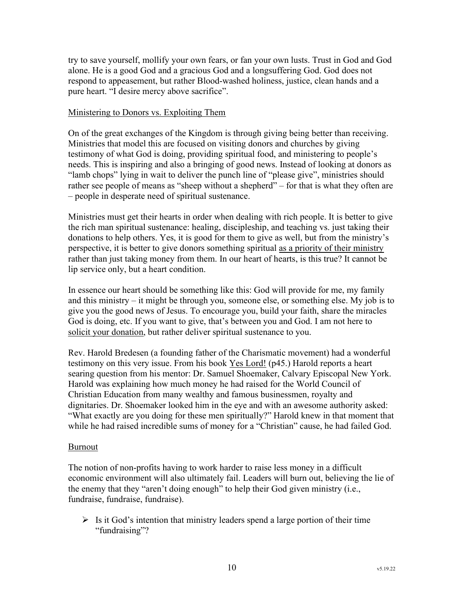try to save yourself, mollify your own fears, or fan your own lusts. Trust in God and God alone. He is a good God and a gracious God and a longsuffering God. God does not respond to appeasement, but rather Blood-washed holiness, justice, clean hands and a pure heart. "I desire mercy above sacrifice".

# Ministering to Donors vs. Exploiting Them

On of the great exchanges of the Kingdom is through giving being better than receiving. Ministries that model this are focused on visiting donors and churches by giving testimony of what God is doing, providing spiritual food, and ministering to people's needs. This is inspiring and also a bringing of good news. Instead of looking at donors as "lamb chops" lying in wait to deliver the punch line of "please give", ministries should rather see people of means as "sheep without a shepherd" – for that is what they often are – people in desperate need of spiritual sustenance.

Ministries must get their hearts in order when dealing with rich people. It is better to give the rich man spiritual sustenance: healing, discipleship, and teaching vs. just taking their donations to help others. Yes, it is good for them to give as well, but from the ministry's perspective, it is better to give donors something spiritual as a priority of their ministry rather than just taking money from them. In our heart of hearts, is this true? It cannot be lip service only, but a heart condition.

In essence our heart should be something like this: God will provide for me, my family and this ministry – it might be through you, someone else, or something else. My job is to give you the good news of Jesus. To encourage you, build your faith, share the miracles God is doing, etc. If you want to give, that's between you and God. I am not here to solicit your donation, but rather deliver spiritual sustenance to you.

Rev. Harold Bredesen (a founding father of the Charismatic movement) had a wonderful testimony on this very issue. From his book Yes Lord! (p45.) Harold reports a heart searing question from his mentor: Dr. Samuel Shoemaker, Calvary Episcopal New York. Harold was explaining how much money he had raised for the World Council of Christian Education from many wealthy and famous businessmen, royalty and dignitaries. Dr. Shoemaker looked him in the eye and with an awesome authority asked: "What exactly are you doing for these men spiritually?" Harold knew in that moment that while he had raised incredible sums of money for a "Christian" cause, he had failed God.

#### Burnout

The notion of non-profits having to work harder to raise less money in a difficult economic environment will also ultimately fail. Leaders will burn out, believing the lie of the enemy that they "aren't doing enough" to help their God given ministry (i.e., fundraise, fundraise, fundraise).

 $\triangleright$  Is it God's intention that ministry leaders spend a large portion of their time "fundraising"?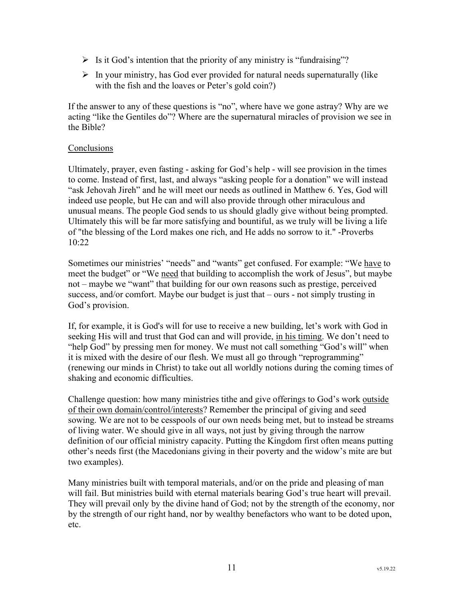- $\triangleright$  Is it God's intention that the priority of any ministry is "fundraising"?
- $\triangleright$  In your ministry, has God ever provided for natural needs supernaturally (like with the fish and the loaves or Peter's gold coin?)

If the answer to any of these questions is "no", where have we gone astray? Why are we acting "like the Gentiles do"? Where are the supernatural miracles of provision we see in the Bible?

# **Conclusions**

Ultimately, prayer, even fasting - asking for God's help - will see provision in the times to come. Instead of first, last, and always "asking people for a donation" we will instead "ask Jehovah Jireh" and he will meet our needs as outlined in Matthew 6. Yes, God will indeed use people, but He can and will also provide through other miraculous and unusual means. The people God sends to us should gladly give without being prompted. Ultimately this will be far more satisfying and bountiful, as we truly will be living a life of "the blessing of the Lord makes one rich, and He adds no sorrow to it." -Proverbs 10:22

Sometimes our ministries' "needs" and "wants" get confused. For example: "We have to meet the budget" or "We need that building to accomplish the work of Jesus", but maybe not – maybe we "want" that building for our own reasons such as prestige, perceived success, and/or comfort. Maybe our budget is just that – ours - not simply trusting in God's provision.

If, for example, it is God's will for use to receive a new building, let's work with God in seeking His will and trust that God can and will provide, in his timing. We don't need to "help God" by pressing men for money. We must not call something "God's will" when it is mixed with the desire of our flesh. We must all go through "reprogramming" (renewing our minds in Christ) to take out all worldly notions during the coming times of shaking and economic difficulties.

Challenge question: how many ministries tithe and give offerings to God's work outside of their own domain/control/interests? Remember the principal of giving and seed sowing. We are not to be cesspools of our own needs being met, but to instead be streams of living water. We should give in all ways, not just by giving through the narrow definition of our official ministry capacity. Putting the Kingdom first often means putting other's needs first (the Macedonians giving in their poverty and the widow's mite are but two examples).

Many ministries built with temporal materials, and/or on the pride and pleasing of man will fail. But ministries build with eternal materials bearing God's true heart will prevail. They will prevail only by the divine hand of God; not by the strength of the economy, nor by the strength of our right hand, nor by wealthy benefactors who want to be doted upon, etc.